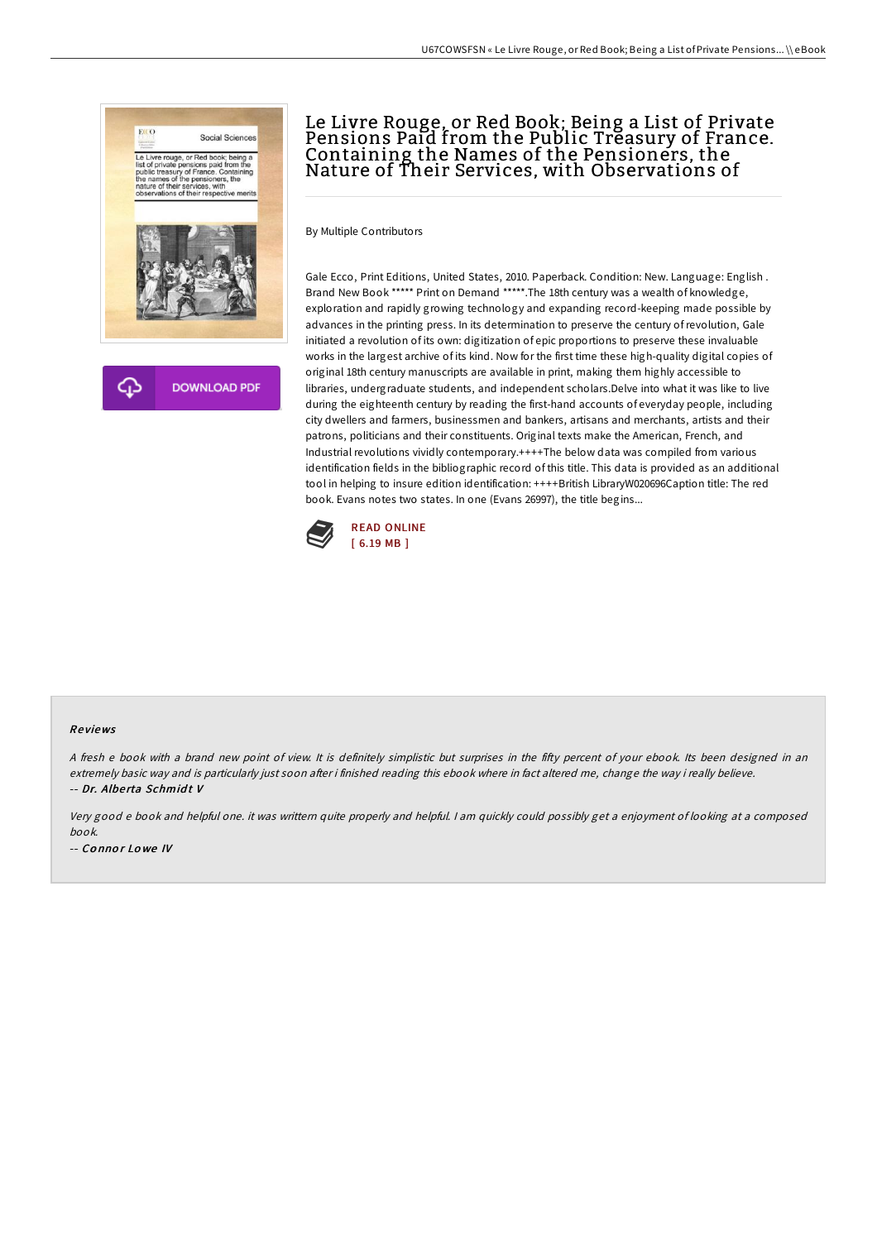

# Le Livre Rouge, or Red Book; Being a List of Private Pensions Paid from the Public Treasury of France. Containing the Names of the Pensioners, the Nature of Their Services, with Observations of

By Multiple Contributors

Gale Ecco, Print Editions, United States, 2010. Paperback. Condition: New. Language: English . Brand New Book \*\*\*\*\* Print on Demand \*\*\*\*\*.The 18th century was a wealth of knowledge, exploration and rapidly growing technology and expanding record-keeping made possible by advances in the printing press. In its determination to preserve the century ofrevolution, Gale initiated a revolution of its own: digitization of epic proportions to preserve these invaluable works in the largest archive of its kind. Now for the first time these high-quality digital copies of original 18th century manuscripts are available in print, making them highly accessible to libraries, undergraduate students, and independent scholars.Delve into what it was like to live during the eighteenth century by reading the first-hand accounts of everyday people, including city dwellers and farmers, businessmen and bankers, artisans and merchants, artists and their patrons, politicians and their constituents. Original texts make the American, French, and Industrial revolutions vividly contemporary.++++The below data was compiled from various identification fields in the bibliographic record of this title. This data is provided as an additional tool in helping to insure edition identification: ++++British LibraryW020696Caption title: The red book. Evans notes two states. In one (Evans 26997), the title begins...



#### Re views

A fresh e book with a brand new point of view. It is definitely simplistic but surprises in the fifty percent of your ebook. Its been designed in an extremely basic way and is particularly just soon after i finished reading this ebook where in fact altered me, change the way i really believe. -- Dr. Albe rta Schmid t V

Very good <sup>e</sup> book and helpful one. it was writtern quite properly and helpful. <sup>I</sup> am quickly could possibly get <sup>a</sup> enjoyment of looking at <sup>a</sup> composed book. -- Connor Lowe IV